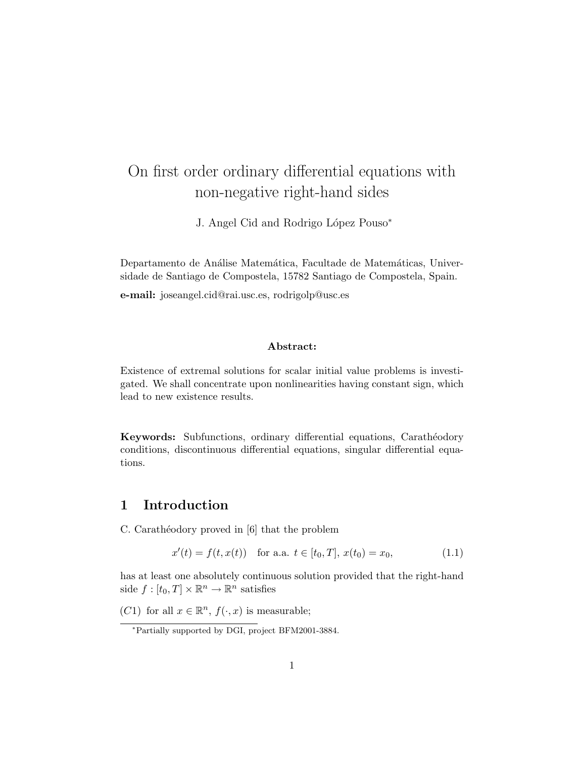# On first order ordinary differential equations with non-negative right-hand sides

J. Angel Cid and Rodrigo López Pouso<sup>∗</sup>

Departamento de Análise Matemática, Facultade de Matemáticas, Universidade de Santiago de Compostela, 15782 Santiago de Compostela, Spain.

e-mail: joseangel.cid@rai.usc.es, rodrigolp@usc.es

#### Abstract:

Existence of extremal solutions for scalar initial value problems is investigated. We shall concentrate upon nonlinearities having constant sign, which lead to new existence results.

Keywords: Subfunctions, ordinary differential equations, Carathéodory conditions, discontinuous differential equations, singular differential equations.

## 1 Introduction

C. Carathéodory proved in [6] that the problem

$$
x'(t) = f(t, x(t)) \quad \text{for a.a. } t \in [t_0, T], \, x(t_0) = x_0,\tag{1.1}
$$

has at least one absolutely continuous solution provided that the right-hand side  $f: [t_0, T] \times \mathbb{R}^n \to \mathbb{R}^n$  satisfies

(C1) for all  $x \in \mathbb{R}^n$ ,  $f(\cdot, x)$  is measurable;

<sup>∗</sup>Partially supported by DGI, project BFM2001-3884.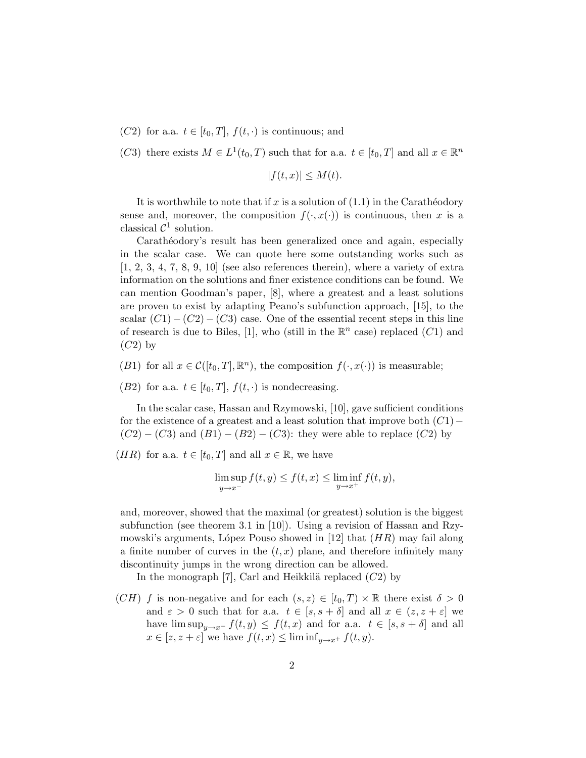(C2) for a.a.  $t \in [t_0, T]$ ,  $f(t, \cdot)$  is continuous; and

(C3) there exists  $M \in L^1(t_0, T)$  such that for a.a.  $t \in [t_0, T]$  and all  $x \in \mathbb{R}^n$ 

$$
|f(t,x)| \le M(t).
$$

It is worthwhile to note that if x is a solution of  $(1.1)$  in the Caratheodory sense and, moreover, the composition  $f(\cdot, x(\cdot))$  is continuous, then x is a classical  $\mathcal{C}^1$  solution.

Carathéodory's result has been generalized once and again, especially in the scalar case. We can quote here some outstanding works such as  $[1, 2, 3, 4, 7, 8, 9, 10]$  (see also references therein), where a variety of extra information on the solutions and finer existence conditions can be found. We can mention Goodman's paper, [8], where a greatest and a least solutions are proven to exist by adapting Peano's subfunction approach, [15], to the scalar  $(C1) - (C2) - (C3)$  case. One of the essential recent steps in this line of research is due to Biles, [1], who (still in the  $\mathbb{R}^n$  case) replaced  $(C1)$  and  $(C2)$  by

(B1) for all  $x \in \mathcal{C}([t_0, T], \mathbb{R}^n)$ , the composition  $f(\cdot, x(\cdot))$  is measurable;

(B2) for a.a.  $t \in [t_0, T]$ ,  $f(t, \cdot)$  is nondecreasing.

In the scalar case, Hassan and Rzymowski, [10], gave sufficient conditions for the existence of a greatest and a least solution that improve both  $(C1)$  –  $(C2) - (C3)$  and  $(B1) - (B2) - (C3)$ : they were able to replace  $(C2)$  by

(*HR*) for a.a.  $t \in [t_0, T]$  and all  $x \in \mathbb{R}$ , we have

$$
\limsup_{y \to x^-} f(t, y) \le f(t, x) \le \liminf_{y \to x^+} f(t, y),
$$

and, moreover, showed that the maximal (or greatest) solution is the biggest subfunction (see theorem 3.1 in [10]). Using a revision of Hassan and Rzymowski's arguments, López Pouso showed in [12] that  $(HR)$  may fail along a finite number of curves in the  $(t, x)$  plane, and therefore infinitely many discontinuity jumps in the wrong direction can be allowed.

In the monograph [7], Carl and Heikkilä replaced  $(C2)$  by

(CH) f is non-negative and for each  $(s, z) \in [t_0, T] \times \mathbb{R}$  there exist  $\delta > 0$ and  $\varepsilon > 0$  such that for a.a.  $t \in [s, s + \delta]$  and all  $x \in (z, z + \varepsilon]$  we have  $\limsup_{y\to x^-} f(t, y) \leq f(t, x)$  and for a.a.  $t \in [s, s + \delta]$  and all  $x \in [z, z + \varepsilon]$  we have  $f(t, x) \leq \liminf_{y \to x^+} f(t, y)$ .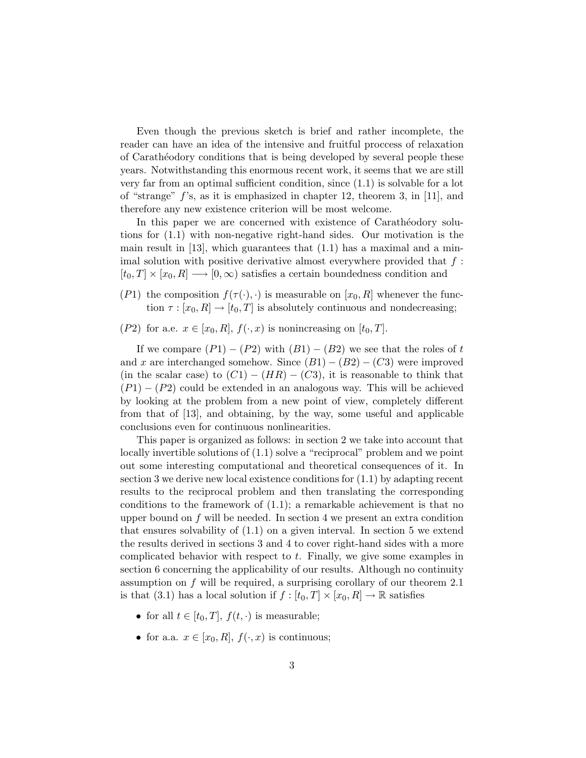Even though the previous sketch is brief and rather incomplete, the reader can have an idea of the intensive and fruitful proccess of relaxation of Carath´eodory conditions that is being developed by several people these years. Notwithstanding this enormous recent work, it seems that we are still very far from an optimal sufficient condition, since (1.1) is solvable for a lot of "strange"  $f$ 's, as it is emphasized in chapter 12, theorem 3, in [11], and therefore any new existence criterion will be most welcome.

In this paper we are concerned with existence of Caratheodory solutions for (1.1) with non-negative right-hand sides. Our motivation is the main result in  $[13]$ , which guarantees that  $(1.1)$  has a maximal and a minimal solution with positive derivative almost everywhere provided that  $f$ :  $[t_0, T] \times [x_0, R] \longrightarrow [0, \infty)$  satisfies a certain boundedness condition and

- (P1) the composition  $f(\tau(\cdot), \cdot)$  is measurable on  $[x_0, R]$  whenever the function  $\tau : [x_0, R] \to [t_0, T]$  is absolutely continuous and nondecreasing;
- (P2) for a.e.  $x \in [x_0, R], f(\cdot, x)$  is nonincreasing on  $[t_0, T].$

If we compare  $(P1) - (P2)$  with  $(B1) - (B2)$  we see that the roles of t and x are interchanged somehow. Since  $(B1) - (B2) - (C3)$  were improved (in the scalar case) to  $(C1) - (HR) - (C3)$ , it is reasonable to think that  $(P1) - (P2)$  could be extended in an analogous way. This will be achieved by looking at the problem from a new point of view, completely different from that of [13], and obtaining, by the way, some useful and applicable conclusions even for continuous nonlinearities.

This paper is organized as follows: in section 2 we take into account that locally invertible solutions of  $(1.1)$  solve a "reciprocal" problem and we point out some interesting computational and theoretical consequences of it. In section 3 we derive new local existence conditions for (1.1) by adapting recent results to the reciprocal problem and then translating the corresponding conditions to the framework of  $(1.1)$ ; a remarkable achievement is that no upper bound on  $f$  will be needed. In section 4 we present an extra condition that ensures solvability of  $(1.1)$  on a given interval. In section 5 we extend the results derived in sections 3 and 4 to cover right-hand sides with a more complicated behavior with respect to t. Finally, we give some examples in section 6 concerning the applicability of our results. Although no continuity assumption on f will be required, a surprising corollary of our theorem 2.1 is that (3.1) has a local solution if  $f : [t_0, T] \times [x_0, R] \to \mathbb{R}$  satisfies

- for all  $t \in [t_0, T]$ ,  $f(t, \cdot)$  is measurable;
- for a.a.  $x \in [x_0, R]$ ,  $f(\cdot, x)$  is continuous;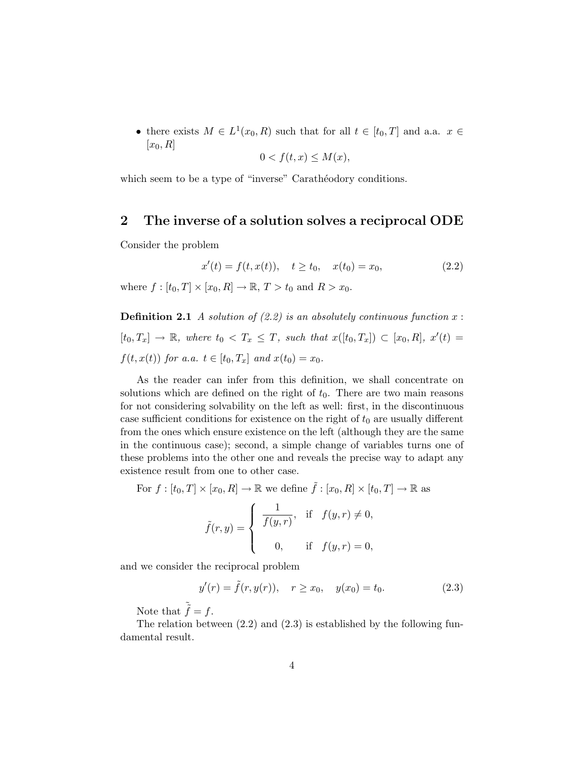• there exists  $M \in L^1(x_0, R)$  such that for all  $t \in [t_0, T]$  and a.a.  $x \in$  $[x_0, R]$ 

$$
0 < f(t, x) \le M(x),
$$

which seem to be a type of "inverse" Carathéodory conditions.

#### 2 The inverse of a solution solves a reciprocal ODE

Consider the problem

$$
x'(t) = f(t, x(t)), \quad t \ge t_0, \quad x(t_0) = x_0,
$$
\n(2.2)

where  $f : [t_0, T] \times [x_0, R] \to \mathbb{R}, T > t_0$  and  $R > x_0$ .

**Definition 2.1** A solution of  $(2.2)$  is an absolutely continuous function x:  $[t_0, T_x] \rightarrow \mathbb{R}$ , where  $t_0 < T_x \leq T$ , such that  $x([t_0, T_x]) \subset [x_0, R]$ ,  $x'(t) =$  $f(t, x(t))$  for a.a.  $t \in [t_0, T_x]$  and  $x(t_0) = x_0$ .

As the reader can infer from this definition, we shall concentrate on solutions which are defined on the right of  $t_0$ . There are two main reasons for not considering solvability on the left as well: first, in the discontinuous case sufficient conditions for existence on the right of  $t_0$  are usually different from the ones which ensure existence on the left (although they are the same in the continuous case); second, a simple change of variables turns one of these problems into the other one and reveals the precise way to adapt any existence result from one to other case.

For 
$$
f : [t_0, T] \times [x_0, R] \to \mathbb{R}
$$
 we define  $\tilde{f} : [x_0, R] \times [t_0, T] \to \mathbb{R}$  as

$$
\tilde{f}(r,y) = \begin{cases} \frac{1}{f(y,r)}, & \text{if } f(y,r) \neq 0, \\ 0, & \text{if } f(y,r) = 0, \end{cases}
$$

and we consider the reciprocal problem

$$
y'(r) = \tilde{f}(r, y(r)), \quad r \ge x_0, \quad y(x_0) = t_0.
$$
 (2.3)

Note that  $\tilde{\tilde{f}} = f$ .

The relation between  $(2.2)$  and  $(2.3)$  is established by the following fundamental result.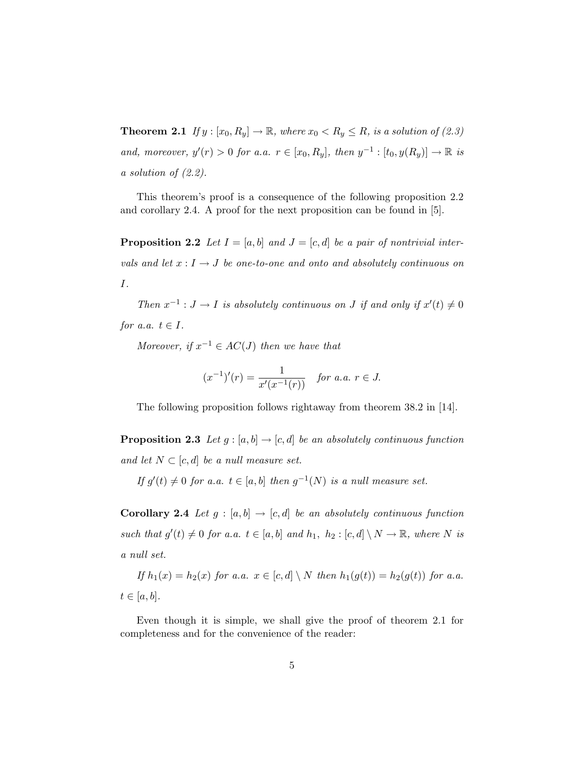**Theorem 2.1** If  $y : [x_0, R_y] \to \mathbb{R}$ , where  $x_0 < R_y \leq R$ , is a solution of (2.3) and, moreover,  $y'(r) > 0$  for a.a.  $r \in [x_0, R_y]$ , then  $y^{-1} : [t_0, y(R_y)] \to \mathbb{R}$  is a solution of (2.2).

This theorem's proof is a consequence of the following proposition 2.2 and corollary 2.4. A proof for the next proposition can be found in [5].

**Proposition 2.2** Let  $I = [a, b]$  and  $J = [c, d]$  be a pair of nontrivial intervals and let  $x: I \to J$  be one-to-one and onto and absolutely continuous on I.

Then  $x^{-1}: J \to I$  is absolutely continuous on J if and only if  $x'(t) \neq 0$ for a.a.  $t \in I$ .

Moreover, if  $x^{-1} \in AC(J)$  then we have that

$$
(x^{-1})'(r) = \frac{1}{x'(x^{-1}(r))} \quad \text{for a.a. } r \in J.
$$

The following proposition follows rightaway from theorem 38.2 in [14].

**Proposition 2.3** Let  $g : [a, b] \rightarrow [c, d]$  be an absolutely continuous function and let  $N \subset [c, d]$  be a null measure set.

If  $g'(t) \neq 0$  for a.a.  $t \in [a, b]$  then  $g^{-1}(N)$  is a null measure set.

**Corollary 2.4** Let  $g : [a, b] \rightarrow [c, d]$  be an absolutely continuous function such that  $g'(t) \neq 0$  for a.a.  $t \in [a, b]$  and  $h_1, h_2 : [c, d] \setminus N \to \mathbb{R}$ , where N is a null set.

If  $h_1(x) = h_2(x)$  for a.a.  $x \in [c, d] \setminus N$  then  $h_1(q(t)) = h_2(q(t))$  for a.a.  $t \in [a, b]$ .

Even though it is simple, we shall give the proof of theorem 2.1 for completeness and for the convenience of the reader: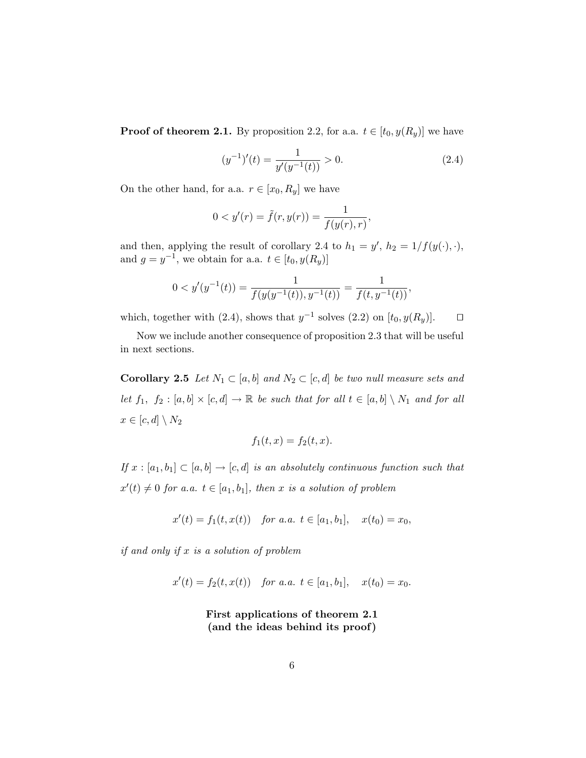**Proof of theorem 2.1.** By proposition 2.2, for a.a.  $t \in [t_0, y(R_y)]$  we have

$$
(y^{-1})'(t) = \frac{1}{y'(y^{-1}(t))} > 0.
$$
\n(2.4)

On the other hand, for a.a.  $r \in [x_0, R_y]$  we have

$$
0 < y'(r) = \tilde{f}(r, y(r)) = \frac{1}{f(y(r), r)},
$$

and then, applying the result of corollary 2.4 to  $h_1 = y'$ ,  $h_2 = 1/f(y(\cdot), \cdot)$ , and  $g = y^{-1}$ , we obtain for a.a.  $t \in [t_0, y(R_y)]$ 

$$
0 < y'(y^{-1}(t)) = \frac{1}{f(y(y^{-1}(t)), y^{-1}(t))} = \frac{1}{f(t, y^{-1}(t))},
$$

which, together with (2.4), shows that  $y^{-1}$  solves (2.2) on  $[t_0, y(R_y)]$ .  $\Box$ 

Now we include another consequence of proposition 2.3 that will be useful in next sections.

**Corollary 2.5** Let  $N_1 \subset [a, b]$  and  $N_2 \subset [c, d]$  be two null measure sets and let  $f_1, f_2 : [a, b] \times [c, d] \rightarrow \mathbb{R}$  be such that for all  $t \in [a, b] \setminus N_1$  and for all  $x \in [c, d] \setminus N_2$ 

$$
f_1(t,x) = f_2(t,x).
$$

If  $x : [a_1, b_1] \subset [a, b] \rightarrow [c, d]$  is an absolutely continuous function such that  $x'(t) \neq 0$  for a.a.  $t \in [a_1, b_1]$ , then x is a solution of problem

$$
x'(t) = f_1(t, x(t))
$$
 for a.a.  $t \in [a_1, b_1]$ ,  $x(t_0) = x_0$ ,

if and only if  $x$  is a solution of problem

$$
x'(t) = f_2(t, x(t))
$$
 for a.a.  $t \in [a_1, b_1]$ ,  $x(t_0) = x_0$ .

First applications of theorem 2.1 (and the ideas behind its proof)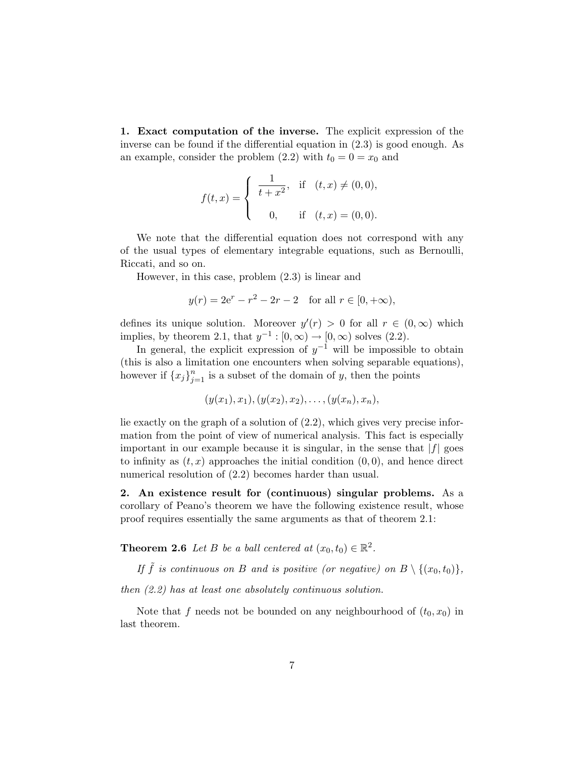1. Exact computation of the inverse. The explicit expression of the inverse can be found if the differential equation in (2.3) is good enough. As an example, consider the problem (2.2) with  $t_0 = 0 = x_0$  and

$$
f(t,x) = \begin{cases} \frac{1}{t+x^2}, & \text{if } (t,x) \neq (0,0), \\ 0, & \text{if } (t,x) = (0,0). \end{cases}
$$

We note that the differential equation does not correspond with any of the usual types of elementary integrable equations, such as Bernoulli, Riccati, and so on.

However, in this case, problem (2.3) is linear and

$$
y(r) = 2e^r - r^2 - 2r - 2
$$
 for all  $r \in [0, +\infty)$ ,

defines its unique solution. Moreover  $y'(r) > 0$  for all  $r \in (0, \infty)$  which implies, by theorem 2.1, that  $y^{-1} : [0, \infty) \to [0, \infty)$  solves (2.2).

In general, the explicit expression of  $y^{-1}$  will be impossible to obtain (this is also a limitation one encounters when solving separable equations), however if  ${x_j}_{j=1}^n$  is a subset of the domain of y, then the points

$$
(y(x_1), x_1), (y(x_2), x_2), \ldots, (y(x_n), x_n),
$$

lie exactly on the graph of a solution of  $(2.2)$ , which gives very precise information from the point of view of numerical analysis. This fact is especially important in our example because it is singular, in the sense that  $|f|$  goes to infinity as  $(t, x)$  approaches the initial condition  $(0, 0)$ , and hence direct numerical resolution of  $(2.2)$  becomes harder than usual.

2. An existence result for (continuous) singular problems. As a corollary of Peano's theorem we have the following existence result, whose proof requires essentially the same arguments as that of theorem 2.1:

**Theorem 2.6** Let B be a ball centered at  $(x_0, t_0) \in \mathbb{R}^2$ .

If  $\tilde{f}$  is continuous on B and is positive (or negative) on  $B \setminus \{(x_0, t_0)\},$ 

then (2.2) has at least one absolutely continuous solution.

Note that f needs not be bounded on any neighbourhood of  $(t_0, x_0)$  in last theorem.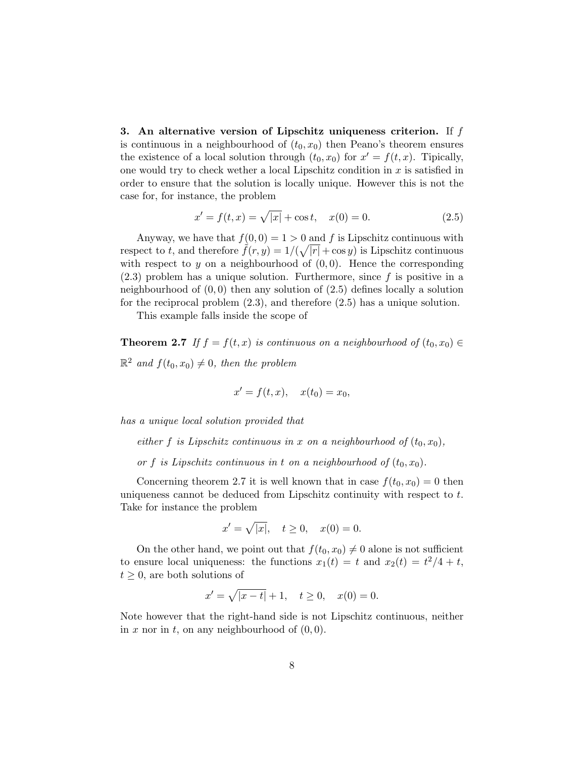3. An alternative version of Lipschitz uniqueness criterion. If  $f$ is continuous in a neighbourhood of  $(t_0, x_0)$  then Peano's theorem ensures the existence of a local solution through  $(t_0, x_0)$  for  $x' = f(t, x)$ . Tipically, one would try to check wether a local Lipschitz condition in  $x$  is satisfied in order to ensure that the solution is locally unique. However this is not the case for, for instance, the problem

$$
x' = f(t, x) = \sqrt{|x|} + \cos t, \quad x(0) = 0.
$$
 (2.5)

Anyway, we have that  $f(0,0) = 1 > 0$  and f is Lipschitz continuous with respect to t, and therefore  $\hat{f}(r, y) = 1/(\sqrt{|r|} + \cos y)$  is Lipschitz continuous with respect to y on a neighbourhood of  $(0, 0)$ . Hence the corresponding  $(2.3)$  problem has a unique solution. Furthermore, since f is positive in a neighbourhood of  $(0,0)$  then any solution of  $(2.5)$  defines locally a solution for the reciprocal problem (2.3), and therefore (2.5) has a unique solution.

This example falls inside the scope of

**Theorem 2.7** If  $f = f(t, x)$  is continuous on a neighbourhood of  $(t_0, x_0) \in$  $\mathbb{R}^2$  and  $f(t_0, x_0) \neq 0$ , then the problem

$$
x' = f(t, x),
$$
  $x(t_0) = x_0,$ 

has a unique local solution provided that

either f is Lipschitz continuous in x on a neighbourhood of  $(t_0, x_0)$ ,

or f is Lipschitz continuous in t on a neighbourhood of  $(t_0, x_0)$ .

Concerning theorem 2.7 it is well known that in case  $f(t_0, x_0) = 0$  then uniqueness cannot be deduced from Lipschitz continuity with respect to  $t$ . Take for instance the problem

$$
x' = \sqrt{|x|}, \quad t \ge 0, \quad x(0) = 0.
$$

On the other hand, we point out that  $f(t_0, x_0) \neq 0$  alone is not sufficient to ensure local uniqueness: the functions  $x_1(t) = t$  and  $x_2(t) = t^2/4 + t$ ,  $t \geq 0$ , are both solutions of

$$
x' = \sqrt{|x - t|} + 1
$$
,  $t \ge 0$ ,  $x(0) = 0$ .

Note however that the right-hand side is not Lipschitz continuous, neither in x nor in t, on any neighbourhood of  $(0, 0)$ .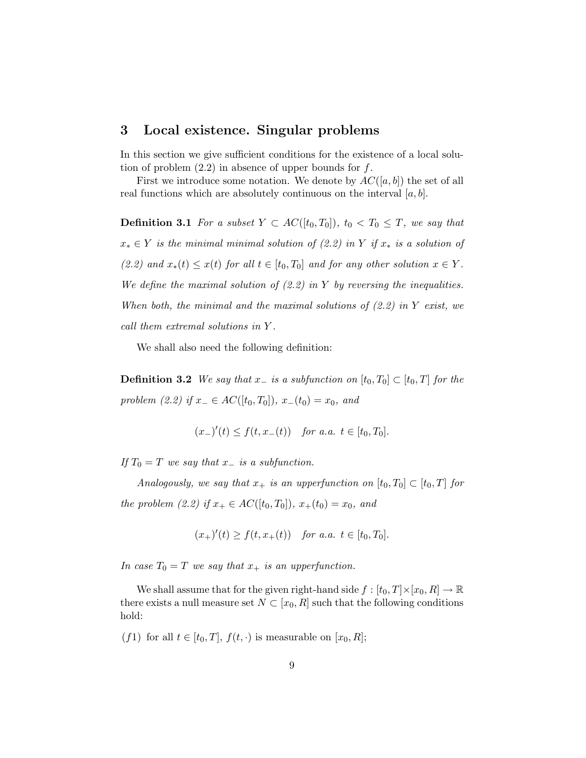#### 3 Local existence. Singular problems

In this section we give sufficient conditions for the existence of a local solution of problem  $(2.2)$  in absence of upper bounds for f.

First we introduce some notation. We denote by  $AC([a, b])$  the set of all real functions which are absolutely continuous on the interval  $[a, b]$ .

**Definition 3.1** For a subset  $Y \subset AC([t_0, T_0])$ ,  $t_0 < T_0 \leq T$ , we say that  $x_* \in Y$  is the minimal minimal solution of  $(2.2)$  in Y if  $x_*$  is a solution of  $(2.2)$  and  $x_*(t) \leq x(t)$  for all  $t \in [t_0, T_0]$  and for any other solution  $x \in Y$ . We define the maximal solution of  $(2.2)$  in Y by reversing the inequalities. When both, the minimal and the maximal solutions of  $(2.2)$  in Y exist, we call them extremal solutions in Y .

We shall also need the following definition:

**Definition 3.2** We say that  $x_$  is a subfunction on  $[t_0, T_0]$  ⊂  $[t_0, T]$  for the problem (2.2) if  $x_-\in AC([t_0,T_0]), x_-(t_0)=x_0,$  and

$$
(x_-)'(t) \le f(t, x_-(t))
$$
 for a.a.  $t \in [t_0, T_0]$ .

If  $T_0 = T$  we say that  $x_-\;$  is a subfunction.

Analogously, we say that  $x_+$  is an upperfunction on  $[t_0, T_0] \subset [t_0, T]$  for the problem (2.2) if  $x_+ \in AC([t_0, T_0])$ ,  $x_+(t_0) = x_0$ , and

$$
(x_{+})'(t) \ge f(t, x_{+}(t))
$$
 for a.a.  $t \in [t_0, T_0]$ .

In case  $T_0 = T$  we say that  $x_+$  is an upperfunction.

We shall assume that for the given right-hand side  $f : [t_0, T] \times [x_0, R] \to \mathbb{R}$ there exists a null measure set  $N \subset [x_0, R]$  such that the following conditions hold:

(f1) for all  $t \in [t_0, T]$ ,  $f(t, \cdot)$  is measurable on  $[x_0, R]$ ;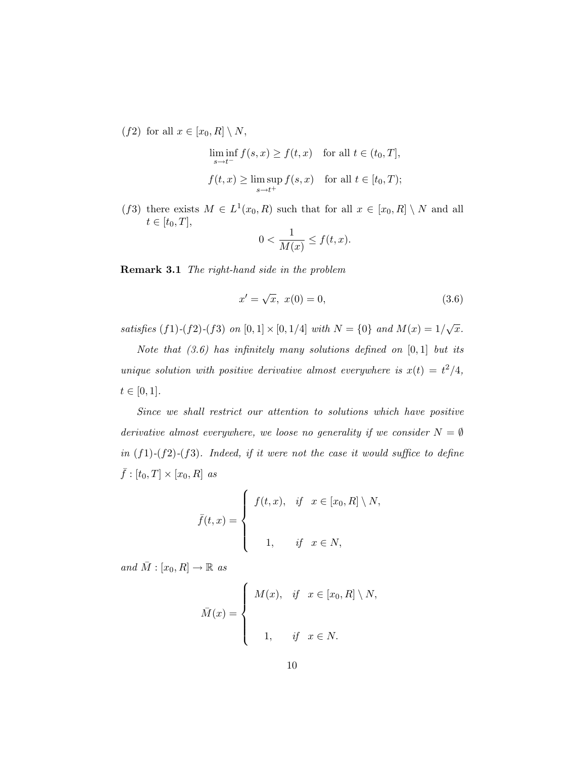(f2) for all  $x \in [x_0, R] \setminus N$ ,

$$
\liminf_{s \to t^{-}} f(s, x) \ge f(t, x) \quad \text{for all } t \in (t_0, T],
$$
  

$$
f(t, x) \ge \limsup_{s \to t^{+}} f(s, x) \quad \text{for all } t \in [t_0, T);
$$

(f3) there exists  $M \in L^1(x_0, R)$  such that for all  $x \in [x_0, R] \setminus N$  and all  $t \in [t_0, T],$ 

$$
0 < \frac{1}{M(x)} \le f(t, x).
$$

Remark 3.1 The right-hand side in the problem

$$
x' = \sqrt{x}, \ x(0) = 0,\tag{3.6}
$$

satisfies (f1)-(f2)-(f3) on  $[0,1] \times [0,1/4]$  with  $N = \{0\}$  and  $M(x) = 1/\sqrt{x}$ .

Note that  $(3.6)$  has infinitely many solutions defined on  $[0, 1]$  but its unique solution with positive derivative almost everywhere is  $x(t) = t^2/4$ ,  $t\in [0,1].$ 

Since we shall restrict our attention to solutions which have positive derivative almost everywhere, we loose no generality if we consider  $N = \emptyset$ in  $(f1)-(f2)-(f3)$ . Indeed, if it were not the case it would suffice to define  $\bar{f}$  :  $[t_0, T] \times [x_0, R]$  as

$$
\bar{f}(t,x) = \begin{cases} f(t,x), & \text{if } x \in [x_0, R] \setminus N, \\ 1, & \text{if } x \in N, \end{cases}
$$

and  $\overline{M} : [x_0, R] \to \mathbb{R}$  as

$$
\bar{M}(x) = \begin{cases}\nM(x), & \text{if } x \in [x_0, R] \setminus N, \\
 & \text{if } x \in N.\n\end{cases}
$$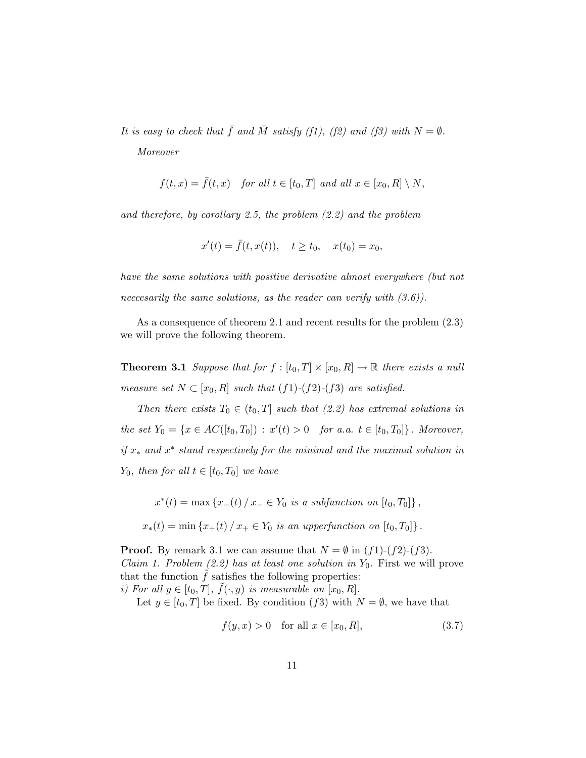It is easy to check that  $\bar{f}$  and  $\bar{M}$  satisfy (f1), (f2) and (f3) with  $N = \emptyset$ . Moreover

$$
f(t,x) = \overline{f}(t,x)
$$
 for all  $t \in [t_0,T]$  and all  $x \in [x_0,R] \setminus N$ ,

and therefore, by corollary 2.5, the problem (2.2) and the problem

$$
x'(t) = \bar{f}(t, x(t)), \quad t \ge t_0, \quad x(t_0) = x_0,
$$

have the same solutions with positive derivative almost everywhere (but not neccesarily the same solutions, as the reader can verify with  $(3.6)$ ).

As a consequence of theorem 2.1 and recent results for the problem (2.3) we will prove the following theorem.

**Theorem 3.1** Suppose that for  $f : [t_0, T] \times [x_0, R] \rightarrow \mathbb{R}$  there exists a null measure set  $N \subset [x_0, R]$  such that  $(f1)-(f2)-(f3)$  are satisfied.

Then there exists  $T_0 \in (t_0, T]$  such that (2.2) has extremal solutions in the set  $Y_0 = \{x \in AC([t_0, T_0]) : x'(t) > 0 \text{ for a.a. } t \in [t_0, T_0]\}.$  Moreover, if x<sup>∗</sup> and x ∗ stand respectively for the minimal and the maximal solution in  $Y_0$ , then for all  $t \in [t_0, T_0]$  we have

- $x^*(t) = \max \{x_-(t) / x_- \in Y_0 \text{ is a subfunction on } [t_0, T_0] \},$
- $x_*(t) = \min \{x_+(t) / x_+ \in Y_0 \text{ is an upper function on } [t_0, T_0] \}.$

**Proof.** By remark 3.1 we can assume that  $N = \emptyset$  in  $(f1)-(f2)-(f3)$ . Claim 1. Problem  $(2.2)$  has at least one solution in  $Y_0$ . First we will prove that the function  $f$  satisfies the following properties: i) For all  $y \in [t_0, T]$ ,  $\tilde{f}(\cdot, y)$  is measurable on  $[x_0, R]$ .

Let  $y \in [t_0, T]$  be fixed. By condition  $(f3)$  with  $N = \emptyset$ , we have that

$$
f(y, x) > 0 \quad \text{for all } x \in [x_0, R], \tag{3.7}
$$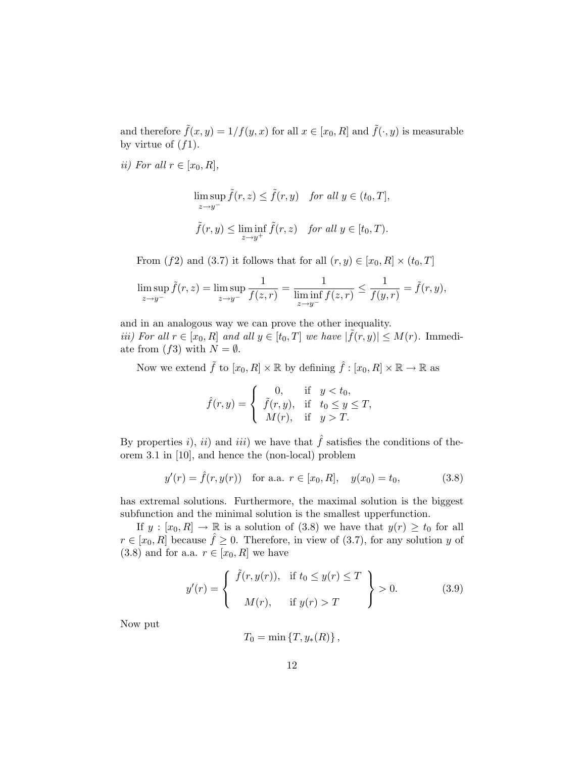and therefore  $\tilde{f}(x, y) = 1/f(y, x)$  for all  $x \in [x_0, R]$  and  $\tilde{f}(\cdot, y)$  is measurable by virtue of  $(f1)$ .

ii) For all  $r \in [x_0, R]$ ,

$$
\limsup_{z \to y^{-}} \tilde{f}(r, z) \leq \tilde{f}(r, y) \quad \text{for all } y \in (t_0, T],
$$
\n
$$
\tilde{f}(r, y) \leq \liminf_{z \to y^{+}} \tilde{f}(r, z) \quad \text{for all } y \in [t_0, T).
$$

From (f2) and (3.7) it follows that for all  $(r, y) \in [x_0, R] \times (t_0, T]$ 

$$
\limsup_{z \to y^-} \tilde{f}(r,z) = \limsup_{z \to y^-} \frac{1}{f(z,r)} = \frac{1}{\liminf_{z \to y^-} f(z,r)} \le \frac{1}{f(y,r)} = \tilde{f}(r,y),
$$

and in an analogous way we can prove the other inequality. *iii*) For all  $r \in [x_0, R]$  and all  $y \in [t_0, T]$  we have  $|\tilde{f}(r, y)| \leq M(r)$ . Immediate from (f3) with  $N = \emptyset$ .

Now we extend  $\tilde{f}$  to  $[x_0, R] \times \mathbb{R}$  by defining  $\hat{f} : [x_0, R] \times \mathbb{R} \to \mathbb{R}$  as

$$
\hat{f}(r,y) = \begin{cases}\n0, & \text{if } y < t_0, \\
\tilde{f}(r,y), & \text{if } t_0 \le y \le T, \\
M(r), & \text{if } y > T.\n\end{cases}
$$

By properties i, ii) and iii) we have that  $\hat{f}$  satisfies the conditions of theorem 3.1 in [10], and hence the (non-local) problem

$$
y'(r) = \hat{f}(r, y(r))
$$
 for a.a.  $r \in [x_0, R]$ ,  $y(x_0) = t_0$ , (3.8)

has extremal solutions. Furthermore, the maximal solution is the biggest subfunction and the minimal solution is the smallest upperfunction.

If  $y : [x_0, R] \to \mathbb{R}$  is a solution of (3.8) we have that  $y(r) \ge t_0$  for all  $r \in [x_0, R]$  because  $\hat{f} \geq 0$ . Therefore, in view of (3.7), for any solution y of (3.8) and for a.a.  $r \in [x_0, R]$  we have

$$
y'(r) = \begin{cases} \tilde{f}(r, y(r)), & \text{if } t_0 \le y(r) \le T \\ M(r), & \text{if } y(r) > T \end{cases} > 0.
$$
 (3.9)

Now put

$$
T_0 = \min\left\{T, y_*(R)\right\},\,
$$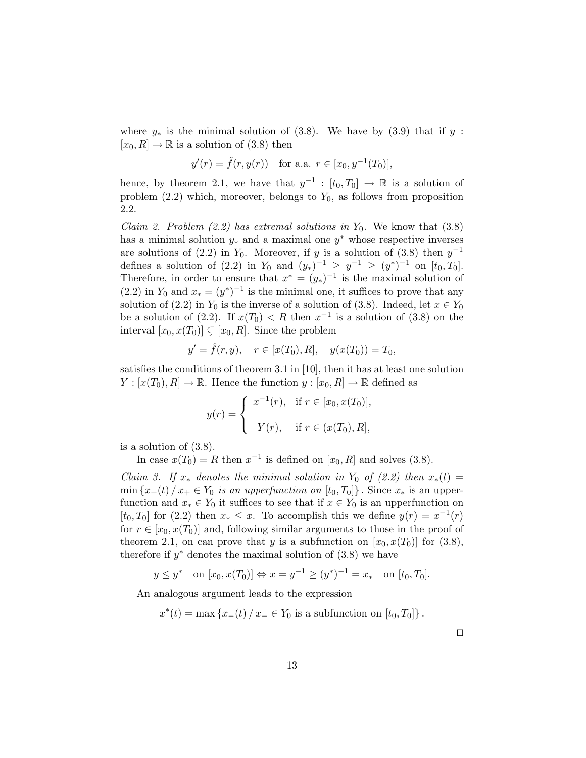where  $y_*$  is the minimal solution of (3.8). We have by (3.9) that if y:  $[x_0, R] \to \mathbb{R}$  is a solution of (3.8) then

$$
y'(r) = \tilde{f}(r, y(r))
$$
 for a.a.  $r \in [x_0, y^{-1}(T_0)],$ 

hence, by theorem 2.1, we have that  $y^{-1} : [t_0, T_0] \to \mathbb{R}$  is a solution of problem  $(2.2)$  which, moreover, belongs to  $Y_0$ , as follows from proposition 2.2.

Claim 2. Problem (2.2) has extremal solutions in  $Y_0$ . We know that (3.8) has a minimal solution  $y_*$  and a maximal one  $y^*$  whose respective inverses are solutions of (2.2) in  $Y_0$ . Moreover, if y is a solution of (3.8) then  $y^{-1}$ defines a solution of (2.2) in  $Y_0$  and  $(y_*)^{-1} \geq y^{-1} \geq (y^*)^{-1}$  on  $[t_0, T_0]$ . Therefore, in order to ensure that  $x^* = (y_*)^{-1}$  is the maximal solution of (2.2) in  $Y_0$  and  $x_* = (y^*)^{-1}$  is the minimal one, it suffices to prove that any solution of (2.2) in  $Y_0$  is the inverse of a solution of (3.8). Indeed, let  $x \in Y_0$ be a solution of (2.2). If  $x(T_0) < R$  then  $x^{-1}$  is a solution of (3.8) on the interval  $[x_0, x(T_0)] \subsetneq [x_0, R]$ . Since the problem

$$
y' = \hat{f}(r, y), \quad r \in [x(T_0), R], \quad y(x(T_0)) = T_0,
$$

satisfies the conditions of theorem 3.1 in [10], then it has at least one solution  $Y : [x(T_0), R] \to \mathbb{R}$ . Hence the function  $y : [x_0, R] \to \mathbb{R}$  defined as

$$
y(r) = \begin{cases} x^{-1}(r), & \text{if } r \in [x_0, x(T_0)], \\ Y(r), & \text{if } r \in (x(T_0), R], \end{cases}
$$

is a solution of (3.8).

In case  $x(T_0) = R$  then  $x^{-1}$  is defined on  $[x_0, R]$  and solves (3.8).

Claim 3. If  $x_*$  denotes the minimal solution in Y<sub>0</sub> of (2.2) then  $x_*(t) =$  $\min \{x_{+}(t) / x_{+} \in Y_0 \text{ is an upper function on } [t_0, T_0] \}$ . Since  $x_*$  is an upperfunction and  $x_* \in Y_0$  it suffices to see that if  $x \in Y_0$  is an upperfunction on [ $t_0, T_0$ ] for (2.2) then  $x_* \leq x$ . To accomplish this we define  $y(r) = x^{-1}(r)$ for  $r \in [x_0, x(T_0)]$  and, following similar arguments to those in the proof of theorem 2.1, on can prove that y is a subfunction on  $[x_0, x(T_0)]$  for  $(3.8)$ , therefore if  $y^*$  denotes the maximal solution of  $(3.8)$  we have

$$
y \le y^*
$$
 on  $[x_0, x(T_0)] \Leftrightarrow x = y^{-1} \ge (y^*)^{-1} = x_*$  on  $[t_0, T_0]$ .

An analogous argument leads to the expression

$$
x^*(t) = \max\left\{x_{-}(t) / x_{-} \in Y_0 \text{ is a subfunction on } [t_0, T_0] \right\}.
$$

 $\Box$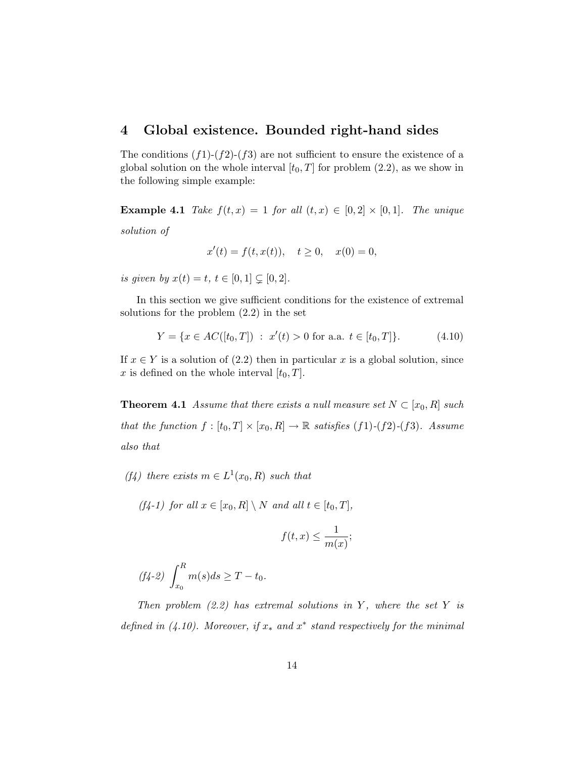### 4 Global existence. Bounded right-hand sides

The conditions  $(f1)-(f2)-(f3)$  are not sufficient to ensure the existence of a global solution on the whole interval  $[t_0, T]$  for problem (2.2), as we show in the following simple example:

**Example 4.1** Take  $f(t, x) = 1$  for all  $(t, x) \in [0, 2] \times [0, 1]$ . The unique solution of

$$
x'(t) = f(t, x(t)), \quad t \ge 0, \quad x(0) = 0,
$$

is given by  $x(t) = t$ ,  $t \in [0, 1] \subsetneq [0, 2]$ .

In this section we give sufficient conditions for the existence of extremal solutions for the problem (2.2) in the set

$$
Y = \{ x \in AC([t_0, T]) : x'(t) > 0 \text{ for a.a. } t \in [t_0, T] \}. \tag{4.10}
$$

If  $x \in Y$  is a solution of (2.2) then in particular x is a global solution, since x is defined on the whole interval  $[t_0, T]$ .

**Theorem 4.1** Assume that there exists a null measure set  $N \subset [x_0, R]$  such that the function  $f : [t_0, T] \times [x_0, R] \to \mathbb{R}$  satisfies  $(f1)-(f2)-(f3)$ . Assume also that

 $(f_4)$  there exists  $m \in L^1(x_0, R)$  such that

(f4-1) for all  $x \in [x_0, R] \setminus N$  and all  $t \in [t_0, T]$ ,

$$
f(t,x) \le \frac{1}{m(x)};
$$

$$
(f4-2)\,\int_{x_0}^R m(s)ds \geq T - t_0.
$$

Then problem  $(2.2)$  has extremal solutions in Y, where the set Y is defined in  $(4.10)$ . Moreover, if  $x_*$  and  $x^*$  stand respectively for the minimal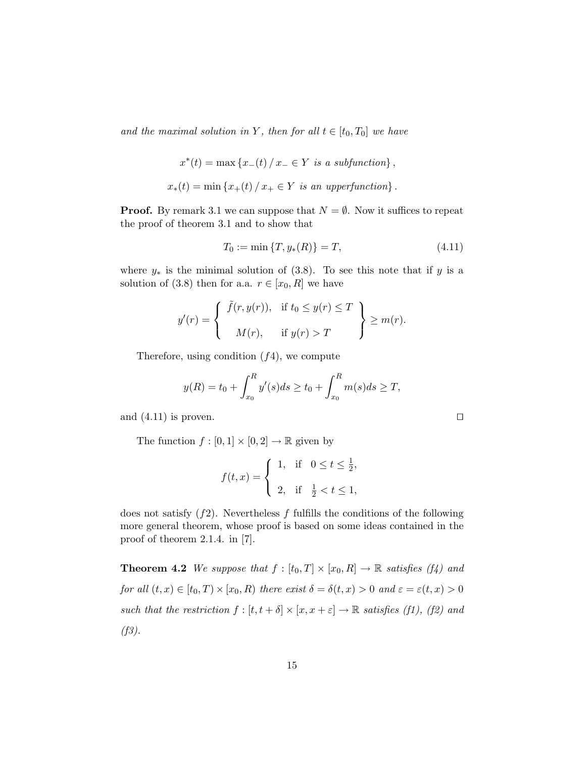and the maximal solution in Y, then for all  $t \in [t_0, T_0]$  we have

$$
x^*(t) = \max \{x_-(t) / x_- \in Y \text{ is a subfunction}\},
$$
  

$$
x_*(t) = \min \{x_+(t) / x_+ \in Y \text{ is an upper function}\}.
$$

**Proof.** By remark 3.1 we can suppose that  $N = \emptyset$ . Now it suffices to repeat the proof of theorem 3.1 and to show that

$$
T_0 := \min\{T, y_*(R)\} = T,\tag{4.11}
$$

where  $y_*$  is the minimal solution of (3.8). To see this note that if y is a solution of (3.8) then for a.a.  $r \in [x_0, R]$  we have

$$
y'(r) = \begin{cases} \tilde{f}(r, y(r)), & \text{if } t_0 \le y(r) \le T \\ M(r), & \text{if } y(r) > T \end{cases} \ge m(r).
$$

Therefore, using condition  $(f4)$ , we compute

$$
y(R) = t_0 + \int_{x_0}^R y'(s)ds \ge t_0 + \int_{x_0}^R m(s)ds \ge T,
$$

and  $(4.11)$  is proven.

The function  $f : [0,1] \times [0,2] \to \mathbb{R}$  given by

$$
f(t,x) = \begin{cases} 1, & \text{if } 0 \le t \le \frac{1}{2}, \\ 2, & \text{if } \frac{1}{2} < t \le 1, \end{cases}
$$

does not satisfy  $(f2)$ . Nevertheless f fulfills the conditions of the following more general theorem, whose proof is based on some ideas contained in the proof of theorem 2.1.4. in [7].

**Theorem 4.2** We suppose that  $f : [t_0, T] \times [x_0, R] \rightarrow \mathbb{R}$  satisfies (f4) and for all  $(t, x) \in [t_0, T) \times [x_0, R)$  there exist  $\delta = \delta(t, x) > 0$  and  $\varepsilon = \varepsilon(t, x) > 0$ such that the restriction  $f : [t, t + \delta] \times [x, x + \varepsilon] \to \mathbb{R}$  satisfies (f1), (f2) and  $(f3)$ .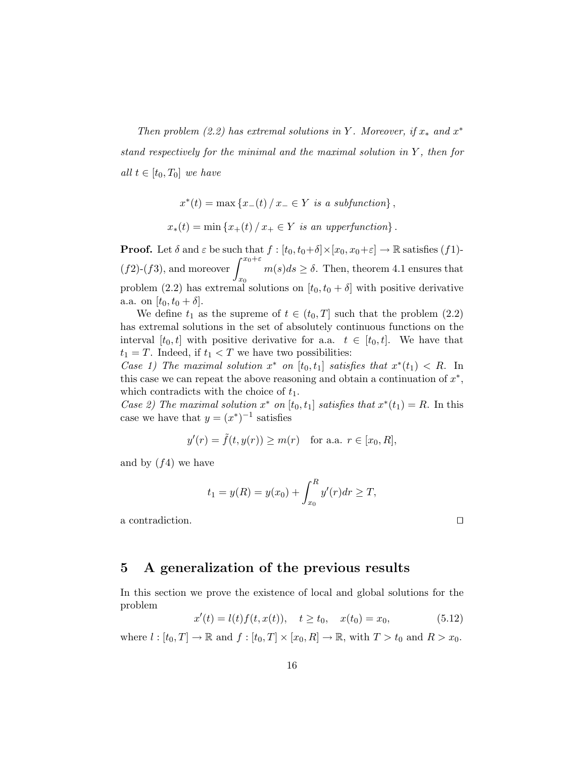Then problem (2.2) has extremal solutions in Y. Moreover, if  $x_*$  and  $x^*$ stand respectively for the minimal and the maximal solution in Y , then for all  $t \in [t_0, T_0]$  we have

$$
x^*(t) = \max\left\{x_-(t) / x_- \in Y \text{ is a subfunction}\right\},\
$$

$$
x_*(t) = \min \left\{ x_+(t) / x_+ \in Y \text{ is an upper function} \right\}.
$$

**Proof.** Let  $\delta$  and  $\varepsilon$  be such that  $f : [t_0, t_0 + \delta] \times [x_0, x_0 + \varepsilon] \to \mathbb{R}$  satisfies  $(f1)$ -**F** FOOT. Let  $\theta$  and  $\varepsilon$  be such that<br> $(f2)-(f3)$ , and moreover  $\int_{0}^{x_0+\varepsilon}$  $\overline{x_0}$  $m(s)ds \geq \delta$ . Then, theorem 4.1 ensures that problem (2.2) has extremal solutions on  $[t_0, t_0 + \delta]$  with positive derivative a.a. on  $[t_0, t_0 + \delta]$ .

We define  $t_1$  as the supreme of  $t \in (t_0, T]$  such that the problem  $(2.2)$ has extremal solutions in the set of absolutely continuous functions on the interval  $[t_0, t]$  with positive derivative for a.a.  $t \in [t_0, t]$ . We have that  $t_1 = T$ . Indeed, if  $t_1 < T$  we have two possibilities:

Case 1) The maximal solution  $x^*$  on  $[t_0, t_1]$  satisfies that  $x^*(t_1) < R$ . In this case we can repeat the above reasoning and obtain a continuation of  $x^*$ , which contradicts with the choice of  $t_1$ .

Case 2) The maximal solution  $x^*$  on  $[t_0, t_1]$  satisfies that  $x^*(t_1) = R$ . In this case we have that  $y = (x^*)^{-1}$  satisfies

$$
y'(r) = \tilde{f}(t, y(r)) \ge m(r) \quad \text{for a.a. } r \in [x_0, R],
$$

and by  $(f4)$  we have

$$
t_1 = y(R) = y(x_0) + \int_{x_0}^{R} y'(r) dr \ge T,
$$

a contradiction.  $\hfill \Box$ 

#### 5 A generalization of the previous results

In this section we prove the existence of local and global solutions for the problem

$$
x'(t) = l(t)f(t, x(t)), \quad t \ge t_0, \quad x(t_0) = x_0,
$$
\n(5.12)

where  $l : [t_0, T] \to \mathbb{R}$  and  $f : [t_0, T] \times [x_0, R] \to \mathbb{R}$ , with  $T > t_0$  and  $R > x_0$ .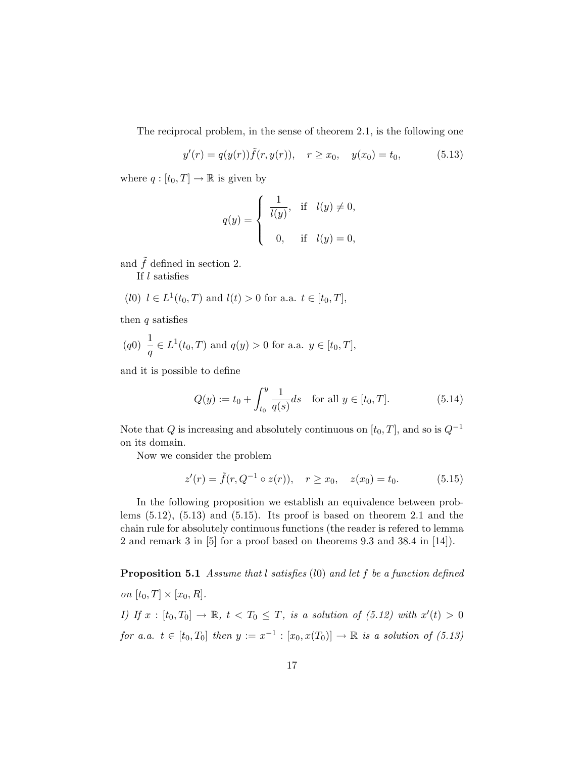The reciprocal problem, in the sense of theorem 2.1, is the following one

$$
y'(r) = q(y(r))\tilde{f}(r, y(r)), \quad r \ge x_0, \quad y(x_0) = t_0,
$$
 (5.13)

where  $q: [t_0, T] \to \mathbb{R}$  is given by

$$
q(y) = \begin{cases} \frac{1}{l(y)}, & \text{if } l(y) \neq 0, \\ 0, & \text{if } l(y) = 0, \end{cases}
$$

and  $\tilde{f}$  defined in section 2.

If l satisfies

(*l*0) 
$$
l \in L^1(t_0, T)
$$
 and  $l(t) > 0$  for a.a.  $t \in [t_0, T]$ ,

then  $q$  satisfies

$$
(q0) \frac{1}{q} \in L^1(t_0, T)
$$
 and  $q(y) > 0$  for a.a.  $y \in [t_0, T]$ ,

and it is possible to define

$$
Q(y) := t_0 + \int_{t_0}^{y} \frac{1}{q(s)} ds \quad \text{for all } y \in [t_0, T].
$$
 (5.14)

Note that  $Q$  is increasing and absolutely continuous on  $[t_0, T]$ , and so is  $Q^{-1}$ on its domain.

Now we consider the problem

$$
z'(r) = \tilde{f}(r, Q^{-1} \circ z(r)), \quad r \ge x_0, \quad z(x_0) = t_0.
$$
 (5.15)

In the following proposition we establish an equivalence between problems  $(5.12)$ ,  $(5.13)$  and  $(5.15)$ . Its proof is based on theorem 2.1 and the chain rule for absolutely continuous functions (the reader is refered to lemma 2 and remark 3 in [5] for a proof based on theorems 9.3 and 38.4 in [14]).

**Proposition 5.1** Assume that l satisfies  $(10)$  and let f be a function defined on  $[t_0, T] \times [x_0, R]$ .

I) If  $x : [t_0, T_0] \rightarrow \mathbb{R}, t < T_0 \leq T$ , is a solution of  $(5.12)$  with  $x'(t) > 0$ for a.a.  $t \in [t_0, T_0]$  then  $y := x^{-1} : [x_0, x(T_0)] \rightarrow \mathbb{R}$  is a solution of  $(5.13)$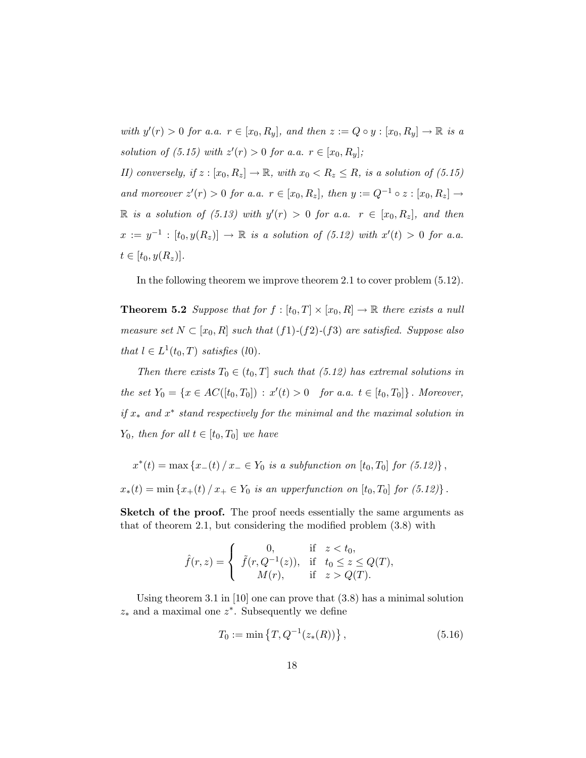with  $y'(r) > 0$  for a.a.  $r \in [x_0, R_y]$ , and then  $z := Q \circ y : [x_0, R_y] \to \mathbb{R}$  is a solution of (5.15) with  $z'(r) > 0$  for a.a.  $r \in [x_0, R_y]$ ; II) conversely, if  $z : [x_0, R_z] \to \mathbb{R}$ , with  $x_0 < R_z \le R$ , is a solution of (5.15) and moreover  $z'(r) > 0$  for a.a.  $r \in [x_0, R_z]$ , then  $y := Q^{-1} \circ z : [x_0, R_z] \to$  $\mathbb R$  is a solution of (5.13) with  $y'(r) > 0$  for a.a.  $r \in [x_0, R_z]$ , and then  $x := y^{-1} : [t_0, y(R_z)] \rightarrow \mathbb{R}$  is a solution of (5.12) with  $x'(t) > 0$  for a.a.  $t \in [t_0, y(R_z)].$ 

In the following theorem we improve theorem 2.1 to cover problem (5.12).

**Theorem 5.2** Suppose that for  $f : [t_0, T] \times [x_0, R] \rightarrow \mathbb{R}$  there exists a null measure set  $N \subset [x_0, R]$  such that  $(f1)-(f2)-(f3)$  are satisfied. Suppose also that  $l \in L^1(t_0,T)$  satisfies (l0).

Then there exists  $T_0 \in (t_0, T]$  such that (5.12) has extremal solutions in the set  $Y_0 = \{x \in AC([t_0, T_0]) : x'(t) > 0 \text{ for a.a. } t \in [t_0, T_0]\}.$  Moreover, if x<sup>∗</sup> and x ∗ stand respectively for the minimal and the maximal solution in  $Y_0$ , then for all  $t \in [t_0, T_0]$  we have

 $x^*(t) = \max \{x_-(t) / x_- \in Y_0 \text{ is a subfunction on } [t_0, T_0] \text{ for } (5.12) \},$ 

 $x_*(t) = \min \{x_+(t) / x_+ \in Y_0 \text{ is an upper function on } [t_0, T_0] \text{ for } (5.12) \}.$ 

Sketch of the proof. The proof needs essentially the same arguments as that of theorem 2.1, but considering the modified problem (3.8) with

$$
\hat{f}(r, z) = \begin{cases}\n0, & \text{if } z < t_0, \\
\tilde{f}(r, Q^{-1}(z)), & \text{if } t_0 \le z \le Q(T), \\
M(r), & \text{if } z > Q(T).\n\end{cases}
$$

Using theorem 3.1 in [10] one can prove that (3.8) has a minimal solution  $z_*$  and a maximal one  $z^*$ . Subsequently we define

$$
T_0 := \min\left\{T, Q^{-1}(z_*(R))\right\},\tag{5.16}
$$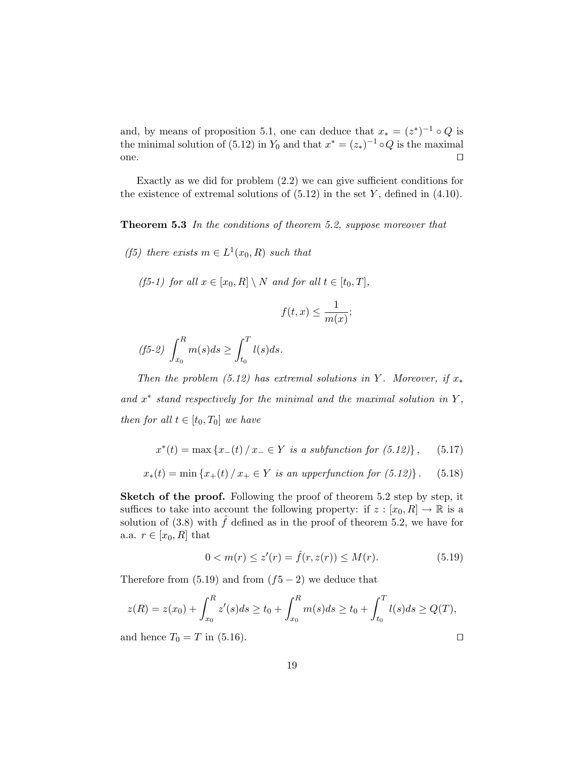and, by means of proposition 5.1, one can deduce that  $x_* = (z^*)^{-1} \circ Q$  is the minimal solution of (5.12) in  $Y_0$  and that  $x^* = (z_*)^{-1} \circ Q$  is the maximal one.  $\Box$ 

Exactly as we did for problem (2.2) we can give sufficient conditions for the existence of extremal solutions of  $(5.12)$  in the set Y, defined in  $(4.10)$ .

**Theorem 5.3** In the conditions of theorem 5.2, suppose moreover that

(f5) there exists  $m \in L^1(x_0, R)$  such that

(f5-1) for all  $x \in [x_0, R] \setminus N$  and for all  $t \in [t_0, T]$ ,

$$
f(t,x) \le \frac{1}{m(x)};
$$

(f5-2) 
$$
\int_{x_0}^R m(s)ds \ge \int_{t_0}^T l(s)ds.
$$

Then the problem (5.12) has extremal solutions in Y. Moreover, if  $x_*$ and  $x^*$  stand respectively for the minimal and the maximal solution in Y, then for all  $t \in [t_0, T_0]$  we have

$$
x^*(t) = \max\left\{x_{-}(t) / x_{-} \in Y \text{ is a subfunction for (5.12)}\right\},\qquad(5.17)
$$

$$
x_*(t) = \min\left\{x_+(t) / x_+ \in Y \text{ is an upperfunction for (5.12)}\right\}.
$$
 (5.18)

Sketch of the proof. Following the proof of theorem 5.2 step by step, it suffices to take into account the following property: if  $z : [x_0, R] \to \mathbb{R}$  is a solution of (3.8) with  $\hat{f}$  defined as in the proof of theorem 5.2, we have for a.a.  $r \in [x_0, R]$  that

$$
0 < m(r) \le z'(r) = \hat{f}(r, z(r)) \le M(r). \tag{5.19}
$$

Therefore from  $(5.19)$  and from  $(f5 - 2)$  we deduce that

$$
z(R) = z(x_0) + \int_{x_0}^R z'(s)ds \ge t_0 + \int_{x_0}^R m(s)ds \ge t_0 + \int_{t_0}^T l(s)ds \ge Q(T),
$$

and hence  $T_0 = T$  in (5.16).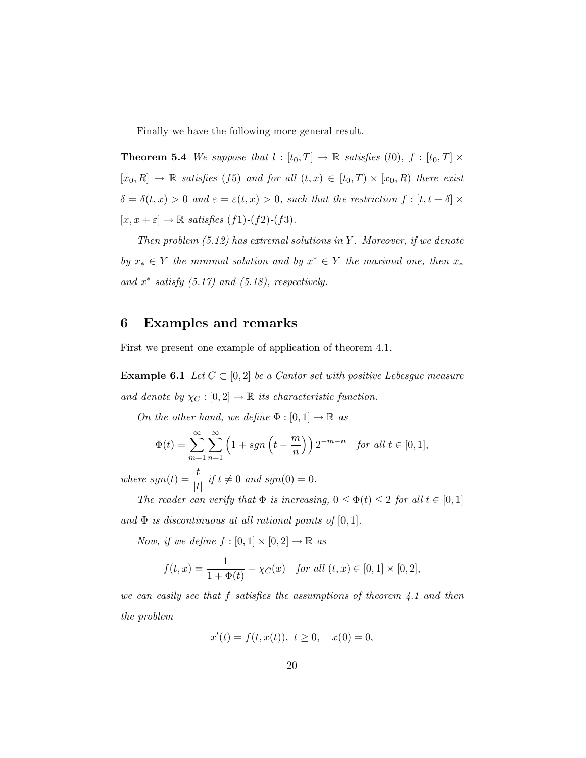Finally we have the following more general result.

**Theorem 5.4** We suppose that  $l : [t_0, T] \to \mathbb{R}$  satisfies (l0),  $f : [t_0, T] \times$  $[x_0, R] \rightarrow \mathbb{R}$  satisfies (f5) and for all  $(t, x) \in [t_0, T) \times [x_0, R]$  there exist  $\delta = \delta(t, x) > 0$  and  $\varepsilon = \varepsilon(t, x) > 0$ , such that the restriction  $f : [t, t + \delta] \times$  $[x, x + \varepsilon] \rightarrow \mathbb{R}$  satisfies  $(f1)-(f2)-(f3)$ .

Then problem  $(5.12)$  has extremal solutions in Y. Moreover, if we denote by  $x_* \in Y$  the minimal solution and by  $x^* \in Y$  the maximal one, then  $x_*$ and  $x^*$  satisfy (5.17) and (5.18), respectively.

#### 6 Examples and remarks

First we present one example of application of theorem 4.1.

**Example 6.1** Let  $C \subset [0,2]$  be a Cantor set with positive Lebesgue measure and denote by  $\chi_C : [0,2] \to \mathbb{R}$  its characteristic function.

On the other hand, we define  $\Phi : [0,1] \to \mathbb{R}$  as

$$
\Phi(t) = \sum_{m=1}^{\infty} \sum_{n=1}^{\infty} \left( 1 + sgn\left(t - \frac{m}{n}\right) \right) 2^{-m-n} \quad \text{for all } t \in [0, 1],
$$

where  $sgn(t) = \frac{t}{|t|}$  if  $t \neq 0$  and  $sgn(0) = 0$ .

The reader can verify that  $\Phi$  is increasing,  $0 \leq \Phi(t) \leq 2$  for all  $t \in [0,1]$ and  $\Phi$  is discontinuous at all rational points of  $[0, 1]$ .

Now, if we define  $f : [0,1] \times [0,2] \rightarrow \mathbb{R}$  as

$$
f(t,x) = \frac{1}{1 + \Phi(t)} + \chi_C(x) \quad \text{for all } (t,x) \in [0,1] \times [0,2],
$$

we can easily see that f satisfies the assumptions of theorem  $\ddot{4}$ . 1 and then the problem

$$
x'(t) = f(t, x(t)), \ t \ge 0, \quad x(0) = 0,
$$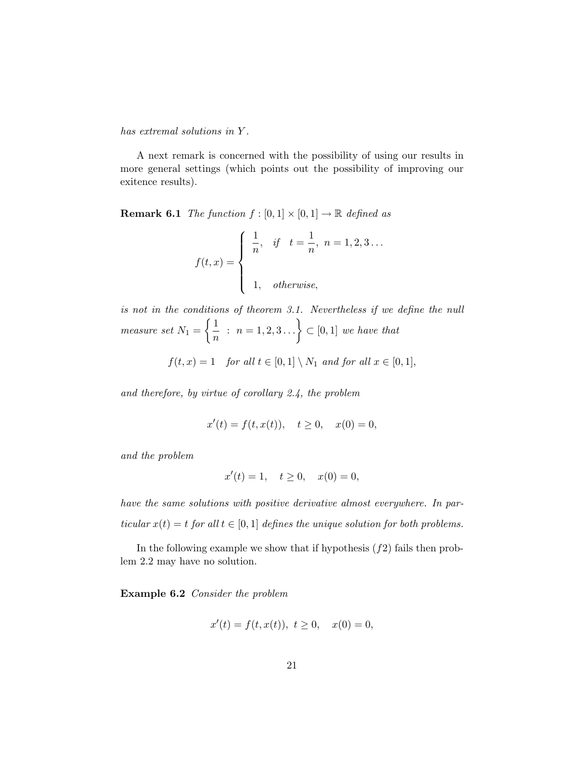has extremal solutions in Y .

A next remark is concerned with the possibility of using our results in more general settings (which points out the possibility of improving our exitence results).

**Remark 6.1** The function  $f : [0,1] \times [0,1] \rightarrow \mathbb{R}$  defined as

$$
f(t,x) = \begin{cases} \frac{1}{n}, & \text{if } t = \frac{1}{n}, n = 1, 2, 3 \dots \\ 1, & \text{otherwise}, \end{cases}
$$

is not in the conditions of theorem  $3.1$ . Nevertheless if we define the null measure set  $N_1 = \left\{\frac{1}{N_1}\right\}$  $\left\{\frac{1}{n}: n = 1, 2, 3...\right\} \subset [0, 1]$  we have that

$$
f(t,x) = 1 \quad \text{for all } t \in [0,1] \setminus N_1 \text{ and for all } x \in [0,1],
$$

and therefore, by virtue of corollary 2.4, the problem

$$
x'(t) = f(t, x(t)), \quad t \ge 0, \quad x(0) = 0,
$$

and the problem

$$
x'(t) = 1, \quad t \ge 0, \quad x(0) = 0,
$$

have the same solutions with positive derivative almost everywhere. In particular  $x(t) = t$  for all  $t \in [0, 1]$  defines the unique solution for both problems.

In the following example we show that if hypothesis  $(f2)$  fails then problem 2.2 may have no solution.

Example 6.2 Consider the problem

$$
x'(t) = f(t, x(t)), \ t \ge 0, \quad x(0) = 0,
$$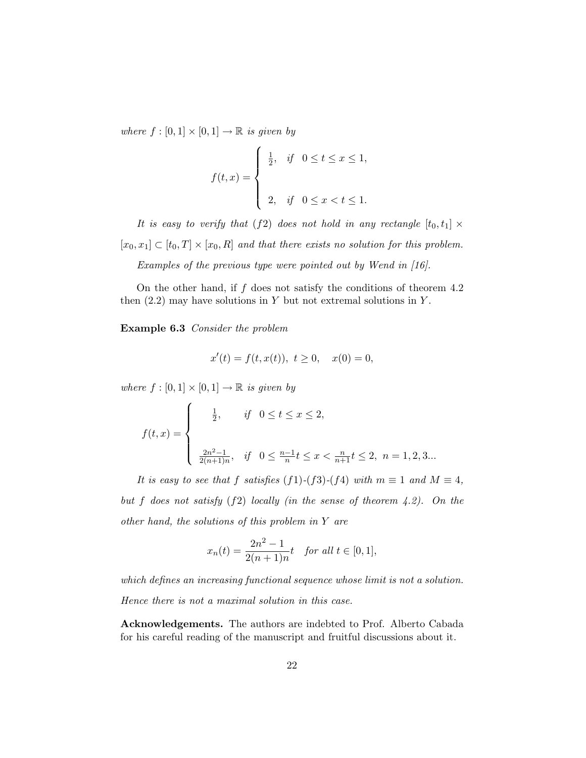where  $f : [0,1] \times [0,1] \rightarrow \mathbb{R}$  is given by

$$
f(t,x) = \begin{cases} \frac{1}{2}, & \text{if } 0 \le t \le x \le 1, \\ \\ 2, & \text{if } 0 \le x < t \le 1. \end{cases}
$$

It is easy to verify that (f2) does not hold in any rectangle  $[t_0, t_1] \times$  $[x_0, x_1] \subset [t_0, T] \times [x_0, R]$  and that there exists no solution for this problem.

Examples of the previous type were pointed out by Wend in [16].

On the other hand, if  $f$  does not satisfy the conditions of theorem 4.2 then  $(2.2)$  may have solutions in Y but not extremal solutions in Y.

Example 6.3 Consider the problem

$$
x'(t) = f(t, x(t)), \ t \ge 0, \quad x(0) = 0,
$$

where  $f : [0,1] \times [0,1] \rightarrow \mathbb{R}$  is given by

$$
f(t,x) = \begin{cases} \frac{1}{2}, & \text{if } 0 \le t \le x \le 2, \\ & \\ \frac{2n^2 - 1}{2(n+1)n}, & \text{if } 0 \le \frac{n-1}{n}t \le x < \frac{n}{n+1}t \le 2, n = 1, 2, 3... \end{cases}
$$

It is easy to see that f satisfies (f1)-(f3)-(f4) with  $m \equiv 1$  and  $M \equiv 4$ , but f does not satisfy  $(f2)$  locally (in the sense of theorem 4.2). On the other hand, the solutions of this problem in Y are

$$
x_n(t) = \frac{2n^2 - 1}{2(n+1)n}t \quad \text{for all } t \in [0, 1],
$$

which defines an increasing functional sequence whose limit is not a solution. Hence there is not a maximal solution in this case.

Acknowledgements. The authors are indebted to Prof. Alberto Cabada for his careful reading of the manuscript and fruitful discussions about it.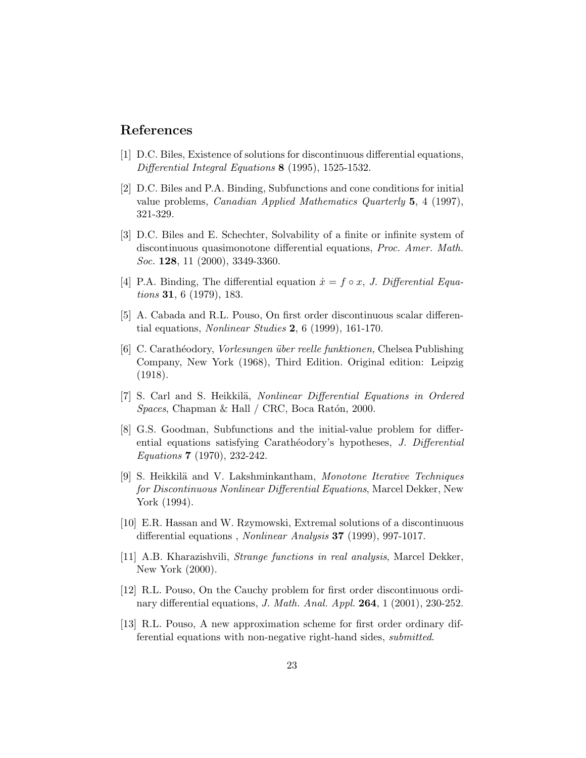#### References

- [1] D.C. Biles, Existence of solutions for discontinuous differential equations, Differential Integral Equations 8 (1995), 1525-1532.
- [2] D.C. Biles and P.A. Binding, Subfunctions and cone conditions for initial value problems, Canadian Applied Mathematics Quarterly 5, 4 (1997), 321-329.
- [3] D.C. Biles and E. Schechter, Solvability of a finite or infinite system of discontinuous quasimonotone differential equations, Proc. Amer. Math. Soc. **128**, 11 (2000), 3349-3360.
- [4] P.A. Binding, The differential equation  $\dot{x} = f \circ x$ , J. Differential Equations 31, 6 (1979), 183.
- [5] A. Cabada and R.L. Pouso, On first order discontinuous scalar differential equations, Nonlinear Studies 2, 6 (1999), 161-170.
- [6] C. Carath´eodory, Vorlesungen ¨uber reelle funktionen, Chelsea Publishing Company, New York (1968), Third Edition. Original edition: Leipzig (1918).
- [7] S. Carl and S. Heikkilä, *Nonlinear Differential Equations in Ordered*  $Spaces$ , Chapman & Hall / CRC, Boca Ratón, 2000.
- [8] G.S. Goodman, Subfunctions and the initial-value problem for differential equations satisfying Carathéodory's hypotheses, J. Differential Equations 7 (1970), 232-242.
- [9] S. Heikkilä and V. Lakshminkantham, Monotone Iterative Techniques for Discontinuous Nonlinear Differential Equations, Marcel Dekker, New York (1994).
- [10] E.R. Hassan and W. Rzymowski, Extremal solutions of a discontinuous differential equations , Nonlinear Analysis 37 (1999), 997-1017.
- [11] A.B. Kharazishvili, Strange functions in real analysis, Marcel Dekker, New York (2000).
- [12] R.L. Pouso, On the Cauchy problem for first order discontinuous ordinary differential equations, *J. Math. Anal. Appl.* **264**, 1 (2001), 230-252.
- [13] R.L. Pouso, A new approximation scheme for first order ordinary differential equations with non-negative right-hand sides, submitted.